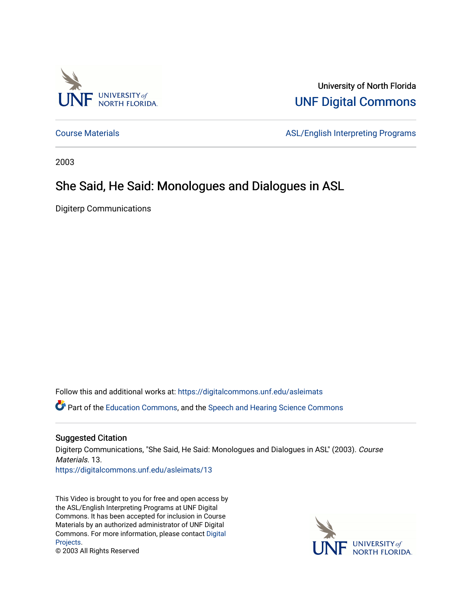

University of North Florida [UNF Digital Commons](https://digitalcommons.unf.edu/) 

[Course Materials](https://digitalcommons.unf.edu/asleimats) **ASL/English Interpreting Programs** 

2003

#### She Said, He Said: Monologues and Dialogues in ASL

Digiterp Communications

Follow this and additional works at: [https://digitalcommons.unf.edu/asleimats](https://digitalcommons.unf.edu/asleimats?utm_source=digitalcommons.unf.edu%2Fasleimats%2F13&utm_medium=PDF&utm_campaign=PDFCoverPages) 

Part of the [Education Commons](http://network.bepress.com/hgg/discipline/784?utm_source=digitalcommons.unf.edu%2Fasleimats%2F13&utm_medium=PDF&utm_campaign=PDFCoverPages), and the [Speech and Hearing Science Commons](http://network.bepress.com/hgg/discipline/1033?utm_source=digitalcommons.unf.edu%2Fasleimats%2F13&utm_medium=PDF&utm_campaign=PDFCoverPages)

#### Suggested Citation

Digiterp Communications, "She Said, He Said: Monologues and Dialogues in ASL" (2003). Course Materials. 13.

[https://digitalcommons.unf.edu/asleimats/13](https://digitalcommons.unf.edu/asleimats/13?utm_source=digitalcommons.unf.edu%2Fasleimats%2F13&utm_medium=PDF&utm_campaign=PDFCoverPages) 

This Video is brought to you for free and open access by the ASL/English Interpreting Programs at UNF Digital Commons. It has been accepted for inclusion in Course Materials by an authorized administrator of UNF Digital Commons. For more information, please contact [Digital](mailto:lib-digital@unf.edu) [Projects.](mailto:lib-digital@unf.edu)



© 2003 All Rights Reserved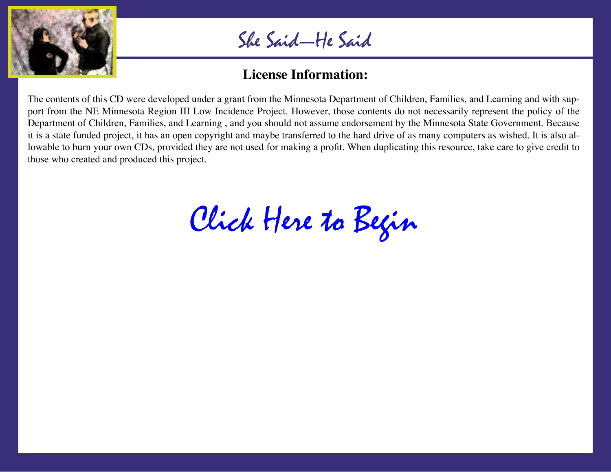

### **License Information:**

The contents of this CD were developed under a grant from the Minnesota Department of Children, Families, and Learning and with support from the NE Minnesota Region III Low Incidence Project. However, those contents do not necessarily represent the policy of the Department of Children, Families, and Learning , and you should not assume endorsement by the Minnesota State Government. Because it is a state funded project, it has an open copyright and maybe transferred to the hard drive of as many computers as wished. It is also allowable to burn your own CDs, provided they are not used for making a profit. When duplicating this resource, take care to give credit to those who created and produced this project.

[Click Here to Begin](#page-2-0)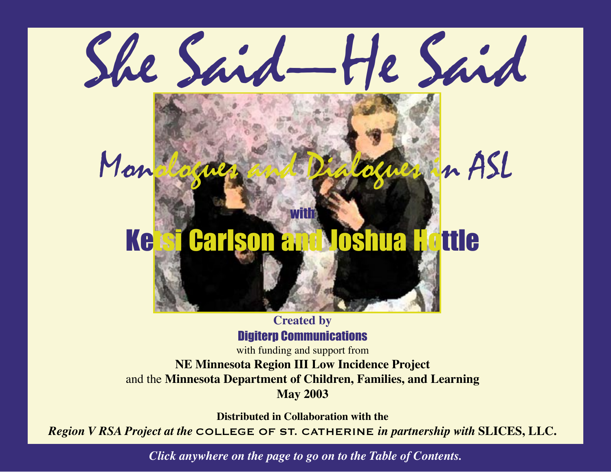# <span id="page-2-0"></span>She Said—He Said Monologues and Dialogues in ASL with Ketsi Carlson and Joshua Hottle

#### **Created by** Digiterp Communications

with funding and support from **NE Minnesota Region III Low Incidence Project** and the **Minnesota Department of Children, Families, and Learning May 2003**

**Distributed in Collaboration with the**

*Region V RSA Project at the* COLLEGE OF ST. CATHERINE *in partnership with* **SLICES, LLC.**

*Click anywhere on the page to go on to the Table of Contents.*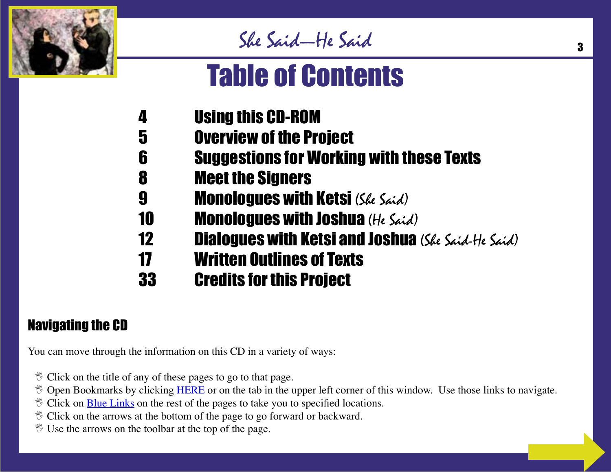

# Table of Contents

- 4 Using this CD-ROM
- 5 Overview of the Project
- 6 Suggestions for Working with these Texts
- 8 Meet the Signers
- **9 Monologues with Ketsi** (*She Said*)
- 10 **Monologues with Joshua** (He Said)
- **12** Dialogues with Ketsi and Joshua (She Said-He Said)
- 17 Written Outlines of Texts
- 33 Credits for this Project

# Navigating the CD

You can move through the information on this CD in a variety of ways:

- $\mathcal V$  Click on the title of any of these pages to go to that page.
- $\%$  Open Bookmarks by clicking HERE or on the tab in the upper left corner of this window. Use those links to navigate.
- $\mathcal V$  Click on **Blue Links** on the rest of the pages to take you to specified locations.
- $\mathcal V$  Click on the arrows at the bottom of the page to go forward or backward.
- $\mathcal V$  Use the arrows on the toolbar at the top of the page.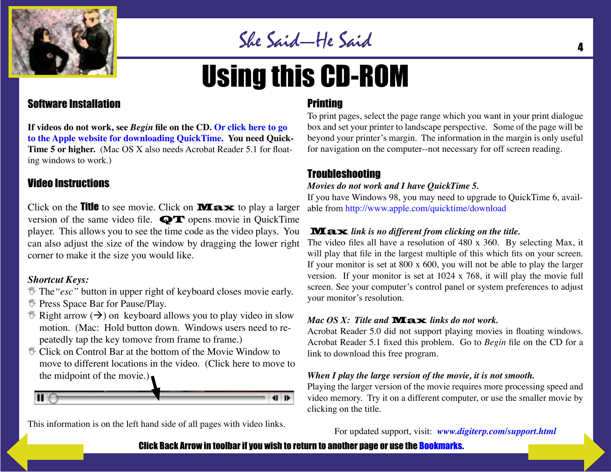

# Using this CD-ROM

#### Software Installation

**If videos do not work, see** *Begin* **file on the CD. Or click here to go [to the Apple website for downloading QuickTime. You need Quick-](http://www.apple.com/quicktime/download/)Time 5 or higher.** (Mac OS X also needs Acrobat Reader 5.1 for floating windows to work.)

#### Video Instructions

Click on the **Title** to see movie. Click on **Max** to play a larger version of the same video file. QT opens movie in QuickTime player. This allows you to see the time code as the video plays. You can also adjust the size of the window by dragging the lower right corner to make it the size you would like.

#### *Shortcut Keys:*

- The*"esc"* button in upper right of keyboard closes movie early.
- **Press Space Bar for Pause/Play.**
- $\mathcal{L}$  Right arrow  $(\rightarrow)$  on keyboard allows you to play video in slow motion. (Mac: Hold button down. Windows users need to repeatedly tap the key tomove from frame to frame.)
- Click on Control Bar at the bottom of the Movie Window to move to different locations in the video. (Click here to move to the midpoint of the movie.) $\bullet$



This information is on the left hand side of all pages with video links.

#### **Printing**

To print pages, select the page range which you want in your print dialogue box and set your printer to landscape perspective. Some of the page will be beyond your printer's margin. The information in the margin is only useful for navigation on the computer--not necessary for off screen reading.

#### Troubleshooting

#### *Movies do not work and I have QuickTime 5.*

If you have Windows 98, you may need to upgrade to QuickTime 6, available from [http://www.apple.com/quicktime/download](http://www.apple.com/quicktime/download/)

#### Max *link is no different from clicking on the title.*

The video files all have a resolution of 480 x 360. By selecting Max, it will play that file in the largest multiple of this which fits on your screen. If your monitor is set at 800 x 600, you will not be able to play the larger version. If your monitor is set at 1024 x 768, it will play the movie full screen. See your computer's control panel or system preferences to adjust your monitor's resolution.

#### *Mac OS X: Title and* Max *links do not work.*

Acrobat Reader 5.0 did not support playing movies in floating windows. Acrobat Reader 5.1 fixed this problem. Go to *Begin* file on the CD for a link to download this free program.

#### *When I play the large version of the movie, it is not smooth.*

Playing the larger version of the movie requires more processing speed and video memory. Try it on a different computer, or use the smaller movie by clicking on the title.

For updated support, visit: *[www.digiterp.com/support.html](http://www.digiterp.com/support.html)*

#### Click Back Arrow in toolbar if you wish to return to another page or use the Bookmarks.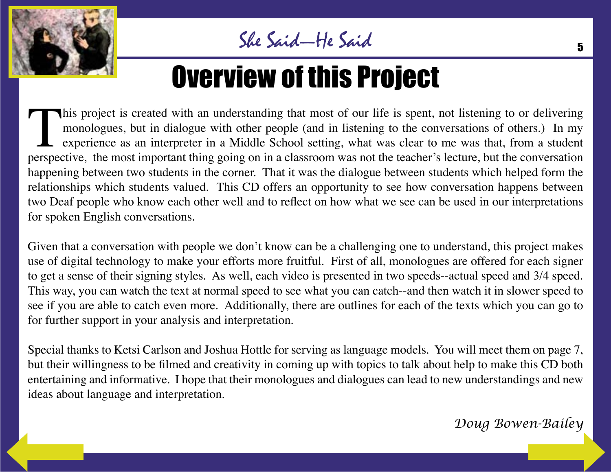

# Overview of this Project

This project is created with an understanding that most of our life is spent, not listening to or delivering monologues, but in dialogue with other people (and in listening to the conversations of others.) In my experience monologues, but in dialogue with other people (and in listening to the conversations of others.) In my experience as an interpreter in a Middle School setting, what was clear to me was that, from a student perspective, the most important thing going on in a classroom was not the teacher's lecture, but the conversation happening between two students in the corner. That it was the dialogue between students which helped form the relationships which students valued. This CD offers an opportunity to see how conversation happens between two Deaf people who know each other well and to reflect on how what we see can be used in our interpretations for spoken English conversations.

Given that a conversation with people we don't know can be a challenging one to understand, this project makes use of digital technology to make your efforts more fruitful. First of all, monologues are offered for each signer to get a sense of their signing styles. As well, each video is presented in two speeds--actual speed and 3/4 speed. This way, you can watch the text at normal speed to see what you can catch--and then watch it in slower speed to see if you are able to catch even more. Additionally, there are outlines for each of the texts which you can go to for further support in your analysis and interpretation.

Special thanks to Ketsi Carlson and Joshua Hottle for serving as language models. You will meet them on page 7, but their willingness to be filmed and creativity in coming up with topics to talk about help to make this CD both entertaining and informative. I hope that their monologues and dialogues can lead to new understandings and new ideas about language and interpretation.

*Doug Bowen-Bailey*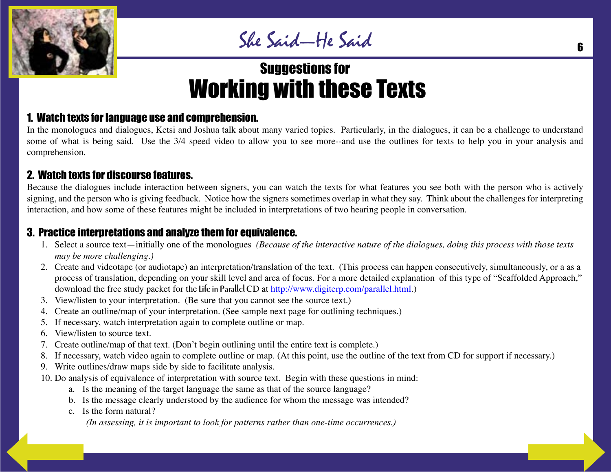

# Suggestions for Working with these Texts

#### 1. Watch texts for language use and comprehension.

In the monologues and dialogues, Ketsi and Joshua talk about many varied topics. Particularly, in the dialogues, it can be a challenge to understand some of what is being said. Use the 3/4 speed video to allow you to see more--and use the outlines for texts to help you in your analysis and comprehension.

#### 2. Watch texts for discourse features.

Because the dialogues include interaction between signers, you can watch the texts for what features you see both with the person who is actively signing, and the person who is giving feedback. Notice how the signers sometimes overlap in what they say. Think about the challenges for interpreting interaction, and how some of these features might be included in interpretations of two hearing people in conversation.

#### 3. Practice interpretations and analyze them for equivalence.

- 1. Select a source text—initially one of the monologues *(Because of the interactive nature of the dialogues, doing this process with those texts may be more challenging.)*
- 2. Create and videotape (or audiotape) an interpretation/translation of the text. (This process can happen consecutively, simultaneously, or a as a process of translation, depending on your skill level and area of focus. For a more detailed explanation of this type of "Scaffolded Approach," download the free study packet for the **Life in Parallel** CD at http://www.digiterp.com/parallel.html.)
- 3. View/listen to your interpretation. (Be sure that you cannot see the source text.)
- 4. Create an outline/map of your interpretation. (See sample next page for outlining techniques.)
- 5. If necessary, watch interpretation again to complete outline or map.
- 6. View/listen to source text.
- 7. Create outline/map of that text. (Don't begin outlining until the entire text is complete.)
- 8. If necessary, watch video again to complete outline or map. (At this point, use the outline of the text from CD for support if necessary.)
- 9. Write outlines/draw maps side by side to facilitate analysis.
- 10. Do analysis of equivalence of interpretation with source text. Begin with these questions in mind:
	- a. Is the meaning of the target language the same as that of the source language?
	- b. Is the message clearly understood by the audience for whom the message was intended?
	- c. Is the form natural?

*(In assessing, it is important to look for patterns rather than one-time occurrences.)*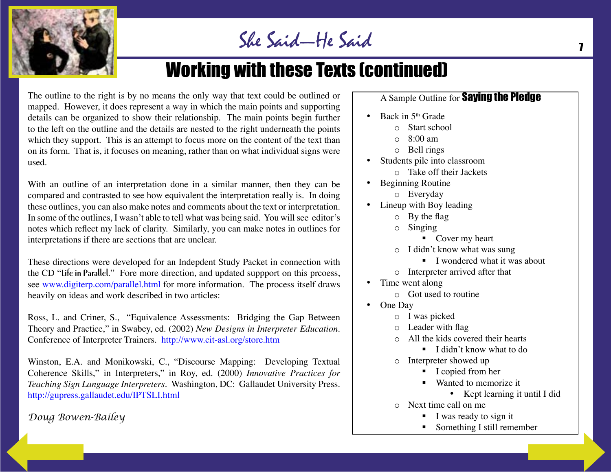

# Working with these Texts (continued)

The outline to the right is by no means the only way that text could be outlined or mapped. However, it does represent a way in which the main points and supporting details can be organized to show their relationship. The main points begin further to the left on the outline and the details are nested to the right underneath the points which they support. This is an attempt to focus more on the content of the text than on its form. That is, it focuses on meaning, rather than on what individual signs were used.

With an outline of an interpretation done in a similar manner, then they can be compared and contrasted to see how equivalent the interpretation really is. In doing these outlines, you can also make notes and comments about the text or interpretation. In some of the outlines, I wasn't able to tell what was being said. You will see editor's notes which reflect my lack of clarity. Similarly, you can make notes in outlines for interpretations if there are sections that are unclear.

These directions were developed for an Indepdent Study Packet in connection with the CD "**Life in Parallel**." Fore more direction, and updated suppport on this prcoess, s[ee www.digiterp.com/parallel.html f](http://www.digiterp.com/parallel.html)or more information. The process itself draws heavily on ideas and work described in two articles:

Ross, L. and Criner, S., "Equivalence Assessments: Bridging the Gap Between Theory and Practice," in Swabey, ed. (2002) *New Designs in Interpreter Education.* Conference of Interpreter Trainer[s. http://www.cit-asl.org/store.htm](http://www.cit-asl.org/store.htm)

Winston, E.A. and Monikowski, C., "Discourse Mapping: Developing Textual Coherence Skills," in Interpreters," in Roy, ed. (2000) *Innovative Practices for Teaching Sign Language Interpreters.* Washington, DC: Gallaudet University Press. <http://gupress.gallaudet.edu/IPTSLI.html>

#### *Doug Bowen-Bailey*

#### A Sample Outline for **Saying the Pledge**

- Back in  $5<sup>th</sup>$  Grade
	- o Start school
	- $\circ$  8:00 am
	- o Bell rings
- Students pile into classroom
	- o Take off their Jackets
- Beginning Routine
	- o Everyday
- Lineup with Boy leading
	- o By the flag
	- o Singing
		- Cover my heart
	- o I didn't know what was sung
		- $\blacksquare$  I wondered what it was about
	- o Interpreter arrived after that
- Time went along
	- o Got used to routine
- One Day
	- o I was picked
	- o Leader with flag
	- o All the kids covered their hearts
		- $\blacksquare$  I didn't know what to do
	- o Interpreter showed up
		- I copied from her
		- Wanted to memorize it
			- Kept learning it until I did
	- o Next time call on me
		- $\blacksquare$  I was ready to sign it
		- Something I still remember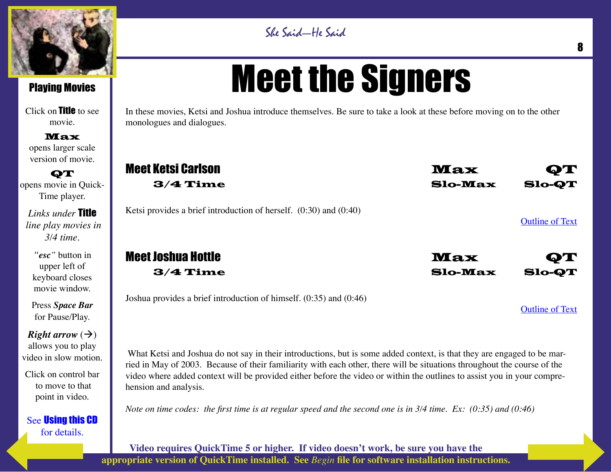

Click on Title to see movie.

Max opens larger scale version of movie.

**QT** opens movie in Quick-Time player.

*Links under* Title  *line play movies in 3/4 time.*

*"esc"* button in upper left of keyboard closes movie window.

Press *Space Bar* for Pause/Play.

*Right arrow*  $(\rightarrow)$ allows you to play video in slow motion.

Click on control bar to move to that point in video.

See Using this CD for details.

# Meet the Signers

She Said—He Said

In these movies, Ketsi and Joshua introduce themselves. Be sure to take a look at these before moving on to the other monologues and dialogues.

| <b>Meet Ketsi Carlson</b>                                              | <b>Max</b>     | $\mathbf{Q} \mathbf{T}$ |
|------------------------------------------------------------------------|----------------|-------------------------|
| $3/4$ Time                                                             | Slo-Max        | <b>Slo-QT</b>           |
| Ketsi provides a brief introduction of herself. $(0:30)$ and $(0:40)$  |                | <b>Outline of Text</b>  |
| <b>Meet Joshua Hottle</b>                                              | <b>Max</b>     | QT                      |
| $3/4$ Time                                                             | <b>Slo-Max</b> | <b>Slo-QT</b>           |
| Joshua provides a brief introduction of himself. $(0.35)$ and $(0.46)$ |                | <b>Outline of Text</b>  |

What Ketsi and Joshua do not say in their introductions, but is some added context, is that they are engaged to be married in May of 2003. Because of their familiarity with each other, there will be situations throughout the course of the video where added context will be provided either before the video or within the outlines to assist you in your comprehension and analysis.

*Note on time codes: the first time is at regular speed and the second one is in 3/4 time. Ex: (0:35) and (0:46)*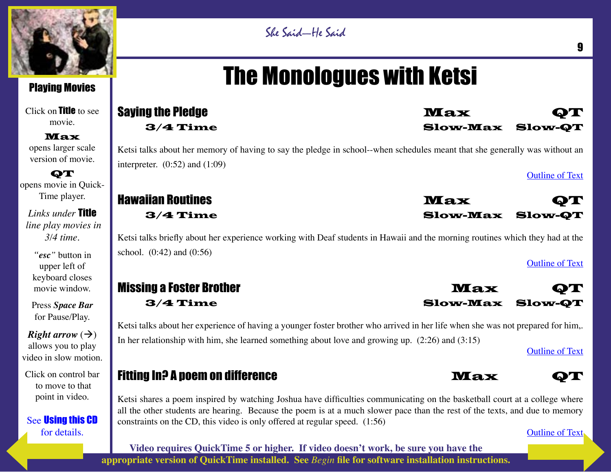

Click on Title to see movie.

Max opens larger scale version of movie.

**QT** opens movie in Quick-Time player.

*Links under* Title  *line play movies in 3/4 time.*

*"esc"* button in upper left of keyboard closes movie window.

Press *Space Bar* for Pause/Play.

*Right arrow*  $(\rightarrow)$ allows you to play video in slow motion.

Click on control bar to move to that point in video.

See Using this CD for details.

# She Said—He Said

# The Monologues with Ketsi

| <b>Saying the Pledge</b>                                                                                                        | <b>Max</b>      | УГ                      |
|---------------------------------------------------------------------------------------------------------------------------------|-----------------|-------------------------|
| $3/4$ Time                                                                                                                      | <b>Slow-Max</b> | <b>Slow-QT</b>          |
| Ketsi talks about her memory of having to say the pledge in school--when schedules meant that she generally was without an      |                 |                         |
| interpreter. $(0.52)$ and $(1.09)$                                                                                              |                 | <b>Outline of Text</b>  |
| <b>Hawaiian Routines</b>                                                                                                        | <b>Max</b>      | $\mathbf{D} \mathbf{T}$ |
| $3/4$ Time                                                                                                                      | <b>Slow-Max</b> | <b>Slow-QT</b>          |
| Ketsi talks briefly about her experience working with Deaf students in Hawaii and the morning routines which they had at the    |                 |                         |
| school. $(0.42)$ and $(0.56)$                                                                                                   |                 | <b>Outline of Text</b>  |
| <b>Missing a Foster Brother</b>                                                                                                 | <b>Max</b>      | QТ                      |
| $3/4$ Time                                                                                                                      | <b>Slow-Max</b> | <b>Slow-QT</b>          |
| Ketsi talks about her experience of having a younger foster brother who arrived in her life when she was not prepared for him,. |                 |                         |
| In her relationship with him, she learned something about love and growing up. $(2:26)$ and $(3:15)$                            |                 | <b>Outline of Text</b>  |
| <b>Fitting In? A poem on difference</b>                                                                                         | <b>Max</b>      | OT N                    |

Ketsi shares a poem inspired by watching Joshua have difficulties communicating on the basketball court at a college where all the other students are hearing. Because the poem is at a much slower pace than the rest of the texts, and due to memory constraints on the CD, this video is only offered at regular speed. (1:56)

Outline of Text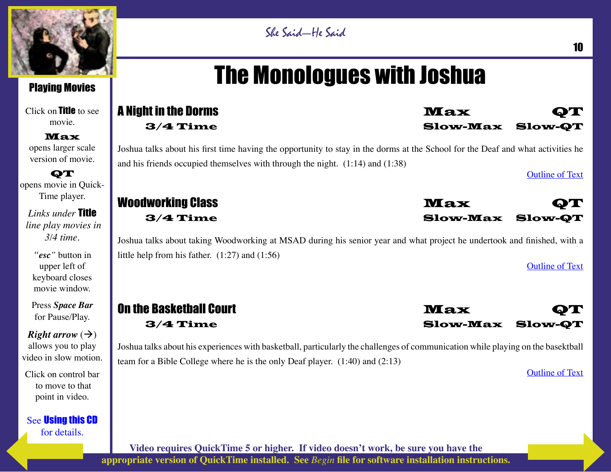

Click on **Title** to see movie.

Max opens larger scale version of movie.

**QT** opens movie in Quick-Time player.

*Links under* Title  *line play movies in 3/4 time.*

*"esc"* button in upper left of keyboard closes movie window.

Press *Space Bar* for Pause/Play.

*Right arrow*  $(\rightarrow)$ allows you to play video in slow motion.

Click on control bar to move to that point in video.

See Using this CD for details.

# She Said—He Said

# The Monologues with Joshua

| <b>A Night in the Dorms</b>                                                                                                                                                   | <b>Max</b><br>QТ                  |
|-------------------------------------------------------------------------------------------------------------------------------------------------------------------------------|-----------------------------------|
| $3/4$ Time                                                                                                                                                                    | <b>Slow-Max Slow-QT</b>           |
| Joshua talks about his first time having the opportunity to stay in the dorms at the School for the Deaf and what activities he                                               |                                   |
| and his friends occupied themselves with through the night. $(1:14)$ and $(1:38)$                                                                                             |                                   |
|                                                                                                                                                                               | <b>Outline of Text</b>            |
| <b>Woodworking Class</b>                                                                                                                                                      | <b>Max</b><br>QT                  |
| $3/4$ Time                                                                                                                                                                    | <b>Slow-Max Slow-QT</b>           |
| Joshua talks about taking Woodworking at MSAD during his senior year and what project he undertook and finished, with a<br>little help from his father. $(1:27)$ and $(1:56)$ |                                   |
|                                                                                                                                                                               | <b>Outline of Text</b>            |
| <b>On the Basketball Court</b>                                                                                                                                                |                                   |
|                                                                                                                                                                               | <b>Max</b><br>QТ                  |
| $3/4$ Time                                                                                                                                                                    | <b>Slow-Max</b><br><b>Slow-QT</b> |
| Joshua talks about his experiences with basketball, particularly the challenges of communication while playing on the basektball                                              |                                   |

Outline of Text

10

**Video requires QuickTime 5 or higher. If video doesn't work, be sure you have the appropriate version of QuickTime installed. See** *Begin* **file for software installation instructions.**

team for a Bible College where he is the only Deaf player. (1:40) and (2:13)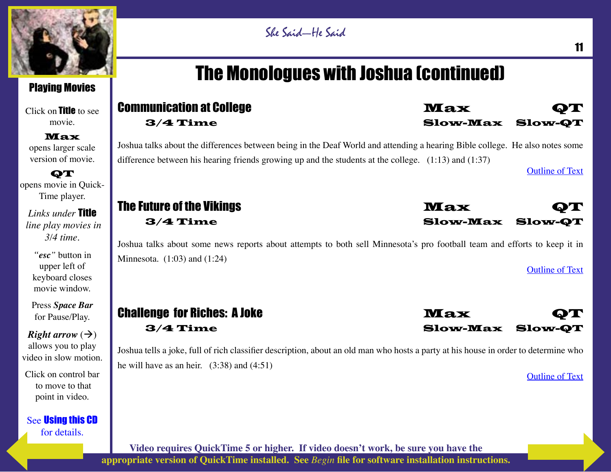

Click on **Title** to see movie.

Max opens larger scale version of movie.

**QT** opens movie in Quick-Time player.

*Links under* Title  *line play movies in 3/4 time.*

*"esc"* button in upper left of keyboard closes movie window.

Press *Space Bar* for Pause/Play.

*Right arrow*  $(\rightarrow)$ allows you to play video in slow motion.

Click on control bar to move to that point in video.

See Using this CD for details.

# She Said—He Said

# The Monologues with Joshua (continued)

| <b>Communication at College</b><br>$3/4$ Time                                                                                                                                                                                            | <b>Max</b><br>0T<br><b>Slow-Max Slow-QT</b>  |
|------------------------------------------------------------------------------------------------------------------------------------------------------------------------------------------------------------------------------------------|----------------------------------------------|
| Joshua talks about the differences between being in the Deaf World and attending a hearing Bible college. He also notes some<br>difference between his hearing friends growing up and the students at the college. $(1:13)$ and $(1:37)$ | <b>Outline of Text</b>                       |
| The Future of the Vikings<br>$3/4$ Time                                                                                                                                                                                                  | <b>Max</b><br>QТ<br><b>Slow-Max Slow-QT</b>  |
| Joshua talks about some news reports about attempts to both sell Minnesota's pro football team and efforts to keep it in<br>Minnesota. $(1:03)$ and $(1:24)$                                                                             | <b>Outline of Text</b>                       |
| <b>Challenge for Riches: A Joke</b><br>$3/4$ Time                                                                                                                                                                                        | <b>Max</b><br>9T.<br><b>Slow-Max Slow-QT</b> |

Joshua tells a joke, full of rich classifier description, about an old man who hosts a party at his house in order to determine who he will have as an heir. (3:38) and (4:51)

Outline of Text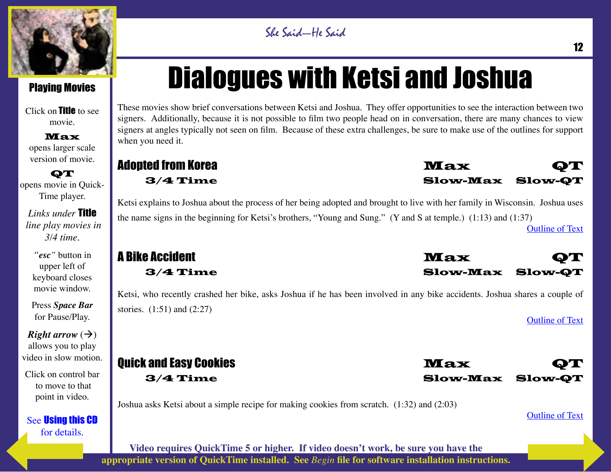

Click on Title to see movie.

Max opens larger scale version of movie.

**QT** opens movie in Quick-Time player.

*Links under* Title  *line play movies in 3/4 time.*

*"esc"* button in upper left of keyboard closes movie window.

Press *Space Bar* for Pause/Play.

*Right arrow*  $(\rightarrow)$ allows you to play video in slow motion.

Click on control bar to move to that point in video.

See Using this CD for details.

# Dialogues with Ketsi and Joshua

She Said—He Said

These movies show brief conversations between Ketsi and Joshua. They offer opportunities to see the interaction between two signers. Additionally, because it is not possible to film two people head on in conversation, there are many chances to view signers at angles typically not seen on film. Because of these extra challenges, be sure to make use of the outlines for support when you need it.

#### Adopted from Korea Max **Max QT** 3/4 Time Slow-Max Slow-QT

Ketsi explains to Joshua about the process of her being adopted and brought to live with her family in Wisconsin. Joshua uses the name signs in the beginning for Ketsi's brothers, "Young and Sung." (Y and S at temple.) (1:13) and (1:37) Outline of Text

# **A Bike Accident Max QT A Bike Accident Max QT A Bike Accident**

Ketsi, who recently crashed her bike, asks Joshua if he has been involved in any bike accidents. Joshua shares a couple of stories. (1:51) and (2:27)

# **Ouick and Easy Cookies Max Quick and Easy Cookies Max QT AT A QT AND A QT A**

Joshua asks Ketsi about a simple recipe for making cookies from scratch. (1:32) and (2:03)

#### Outline of Text

Outline of Text



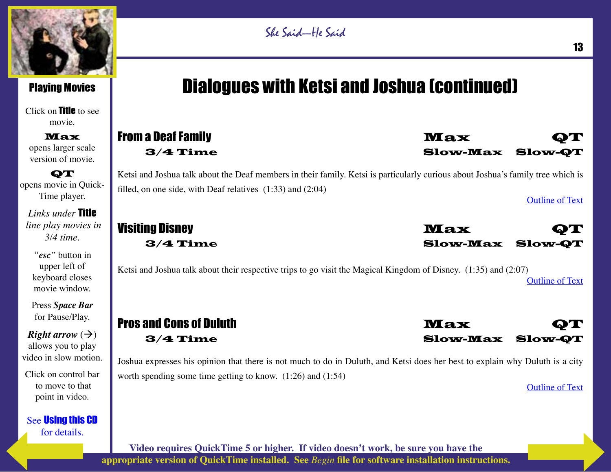

#### Playing Movies

Click on Title to see movie.

Max opens larger scale version of movie.

**QT** opens movie in Quick-Time player.

*Links under* Title  *line play movies in 3/4 time.*

*"esc"* button in upper left of keyboard closes movie window.

Press *Space Bar* for Pause/Play.

*Right arrow*  $(\rightarrow)$ allows you to play video in slow motion.

Click on control bar to move to that point in video.

See Using this CD for details.

# Dialogues with Ketsi and Joshua (continued)

### **From a Deaf Family New York Contract of the Contract of Trust Contract Of Trust Contract Of Trust Contract Of T** 3/4 Time Slow-Max Slow-QT

Ketsi and Joshua talk about the Deaf members in their family. Ketsi is particularly curious about Joshua's family tree which is filled, on one side, with Deaf relatives (1:33) and (2:04)

Outline of Text

Visiting Disney **Max** QT 3/4 Time Slow-Max Slow-QT

Ketsi and Joshua talk about their respective trips to go visit the Magical Kingdom of Disney. (1:35) and (2:07) Outline of Text

# Pros and Cons of Duluth Max **Max QT**

3/4 Time Slow-Max Slow-QT Joshua expresses his opinion that there is not much to do in Duluth, and Ketsi does her best to explain why Duluth is a city

worth spending some time getting to know. (1:26) and (1:54)

Outline of Text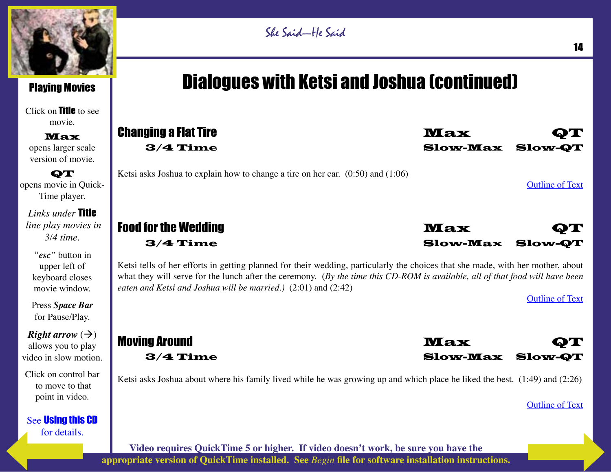

Click on Title to see movie.

Max opens larger scale version of movie.

**QT** opens movie in Quick-Time player.

*Links under* Title  *line play movies in 3/4 time.*

*"esc"* button in upper left of keyboard closes movie window.

Press *Space Bar* for Pause/Play.

*Right arrow*  $(\rightarrow)$ allows you to play video in slow motion.

Click on control bar to move to that point in video.

See Using this CD for details.

#### She Said—He Said

# Dialogues with Ketsi and Joshua (continued)

| <b>Changing a Flat Tire</b>                                                         | <b>Max</b>                            | ОТ                     |  |
|-------------------------------------------------------------------------------------|---------------------------------------|------------------------|--|
| $3/4$ Time                                                                          | <b>Slow-Max Slow-OT</b>               |                        |  |
| Ketsi asks Joshua to explain how to change a tire on her car. $(0.50)$ and $(1.06)$ |                                       | <b>Outline of Text</b> |  |
| <b>Food for the Wedding</b><br>$3/4$ Time                                           | <b>Max</b><br><b>Slow-Max Slow-QT</b> | ОТ                     |  |

Ketsi tells of her efforts in getting planned for their wedding, particularly the choices that she made, with her mother, about what they will serve for the lunch after the ceremony. (*By the time this CD-ROM is available, all of that food will have been eaten and Ketsi and Joshua will be married.)* (2:01) and (2:42)

Outline of Text

Moving Around **Max QT** 3/4 Time Slow-Max Slow-QT

Ketsi asks Joshua about where his family lived while he was growing up and which place he liked the best. (1:49) and (2:26)

Outline of Text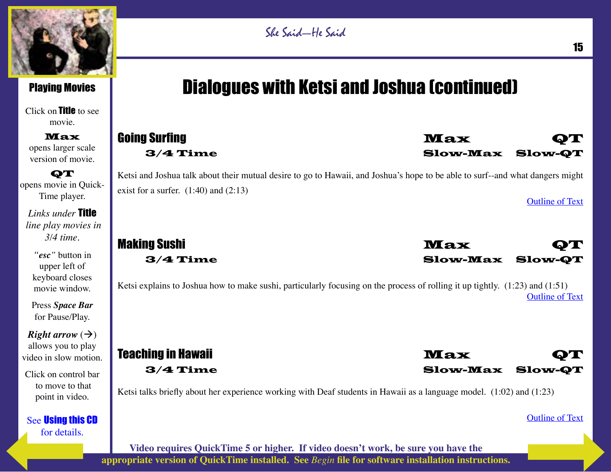

Click on Title to see movie.

Max opens larger scale version of movie.

**QT** opens movie in Quick-Time player.

*Links under* Title  *line play movies in 3/4 time.*

*"esc"* button in upper left of keyboard closes movie window.

Press *Space Bar* for Pause/Play.

*Right arrow*  $(\rightarrow)$ allows you to play video in slow motion.

Click on control bar to move to that point in video.

See Using this CD for details.

# Dialogues with Ketsi and Joshua (continued)

#### **Going Surfing Community Community Community Community Community Community Community Community Community Community** 3/4 Time Slow-Max Slow-QT

Ketsi and Joshua talk about their mutual desire to go to Hawaii, and Joshua's hope to be able to surf--and what dangers might exist for a surfer.  $(1:40)$  and  $(2:13)$ 

Outline of Text



Ketsi explains to Joshua how to make sushi, particularly focusing on the process of rolling it up tightly. (1:23) and (1:51) Outline of Text

Teaching in Hawaii **Max** QT 3/4 Time Slow-Max Slow-QT

Ketsi talks briefly about her experience working with Deaf students in Hawaii as a language model. (1:02) and (1:23)

Outline of Text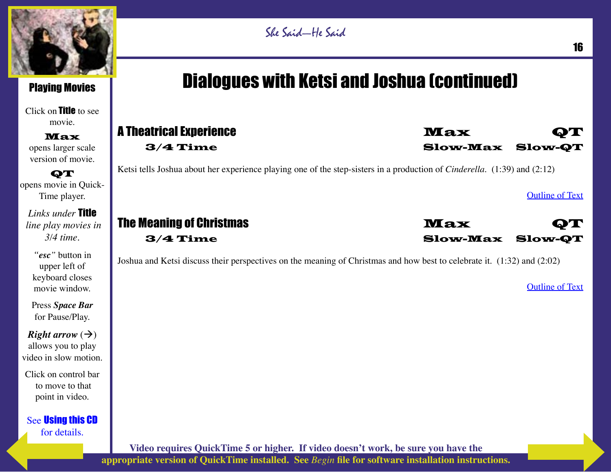

#### Playing Movies

Click on Title to see movie.

Max opens larger scale version of movie.

**QT** opens movie in Quick-Time player.

*Links under* Title  *line play movies in 3/4 time.*

*"esc"* button in upper left of keyboard closes movie window.

Press *Space Bar* for Pause/Play.

*Right arrow*  $(\rightarrow)$ allows you to play video in slow motion.

Click on control bar to move to that point in video.

See Using this CD for details.

# Dialogues with Ketsi and Joshua (continued)

# A Theatrical Experience Max **Max QT**

3/4 Time Slow-Max Slow-QT

Ketsi tells Joshua about her experience playing one of the step-sisters in a production of *Cinderella*. (1:39) and (2:12)

Outline of Text

The Meaning of Christmas **Max QT** 3/4 Time Slow-Max Slow-QT

Joshua and Ketsi discuss their perspectives on the meaning of Christmas and how best to celebrate it. (1:32) and (2:02)

Outline of Text

```
Video requires QuickTime 5 or higher. If video doesn't work, be sure you have the 
appropriate version of QuickTime installed. See Begin file for software installation instructions.
```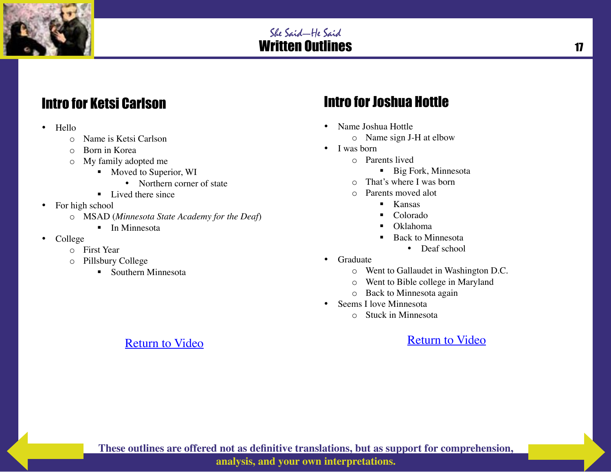

# Intro for Ketsi Carlson

- Hello
	- o Name is Ketsi Carlson
	- o Born in Korea
	- o My family adopted me
		- Moved to Superior, WI
			- Northern corner of state
		- Lived there since
- For high school
	- o MSAD (*Minnesota State Academy for the Deaf*)

Return to Video

- $\blacksquare$  In Minnesota
- College
	- o First Year
	- o Pillsbury College
		- Southern Minnesota

# Intro for Joshua Hottle

- Name Joshua Hottle o Name sign J-H at elbow
- I was born
	- o Parents lived
		- Big Fork, Minnesota
	- o That's where I was born
	- o Parents moved alot
		- **Kansas**
		- Colorado
		- Oklahoma
		- Back to Minnesota
			- Deaf school
- Graduate
	- o Went to Gallaudet in Washington D.C.
	- o Went to Bible college in Maryland
	- o Back to Minnesota again
- Seems I love Minnesota
	- o Stuck in Minnesota

Return to Video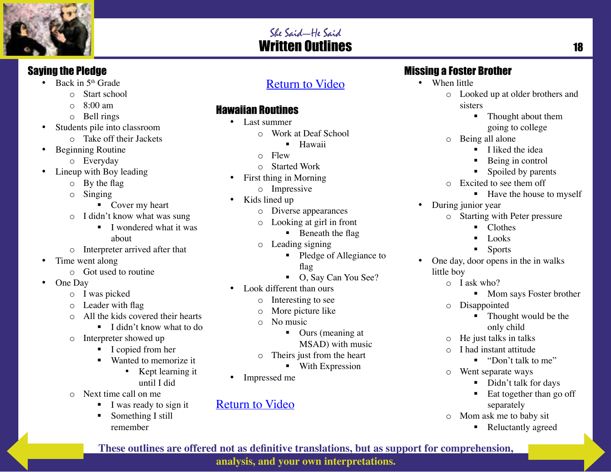

#### Saying the Pledge

- Back in  $5<sup>th</sup>$  Grade
	- o Start school
		- o 8:00 am
		- o Bell rings
- Students pile into classroom
	- o Take off their Jackets
- Beginning Routine
	- o Everyday
- Lineup with Boy leading
	- o By the flag
	- o Singing
		- Cover my heart
	- o I didn't know what was sung
		- I wondered what it was about
	- o Interpreter arrived after that
- Time went along
	- o Got used to routine
- One Day
	- o I was picked
	- o Leader with flag
	- o All the kids covered their hearts
		- $\blacksquare$  I didn't know what to do
	- o Interpreter showed up
		- I copied from her
		- Wanted to memorize it
			- Kept learning it until I did
	- o Next time call on me
		- I was ready to sign it
		- Something I still remember

## Return to Video

### Hawaiian Routines

- Last summer
	- o Work at Deaf School
		- **Hawaii**
	- o Flew
	- o Started Work
- First thing in Morning
	- o Impressive
- Kids lined up
	- o Diverse appearances
	- o Looking at girl in front
		- $\blacksquare$  Beneath the flag
	- o Leading signing
		- Pledge of Allegiance to flag
		- O, Say Can You See?
- Look different than ours
	- o Interesting to see
	- o More picture like
	- o No music
		- Ours (meaning at
			- MSAD) with music
	- o Theirs just from the heart
		- **With Expression**
- Impressed me

#### Return to Video

## Missing a Foster Brother

- When little
	- o Looked up at older brothers and sisters
		- Thought about them going to college
	- o Being all alone
		- $\blacksquare$  I liked the idea
		- Being in control
		- Spoiled by parents
	- o Excited to see them off
		- $\blacksquare$  Have the house to myself
- During junior year
	- o Starting with Peter pressure
		- Clothes
		- $\blacksquare$  Looks
		- **Sports**
- One day, door opens in the in walks little boy
	- o I ask who?
		- Mom says Foster brother
	- o Disappointed
		- Thought would be the only child
	- o He just talks in talks
	- o I had instant attitude
		- "Don't talk to me"
	- o Went separate ways
		- Didn't talk for days
		- $\blacksquare$  Eat together than go off separately
	- o Mom ask me to baby sit
		- Reluctantly agreed

**These outlines are offered not as definitive translations, but as support for comprehension,** 

**analysis, and your own interpretations.**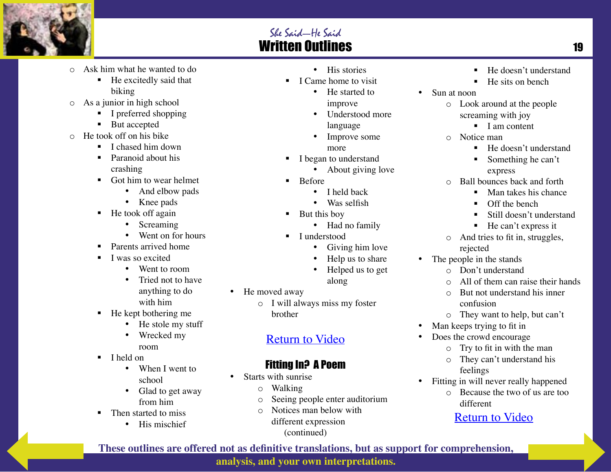

- o Ask him what he wanted to do
	- He excitedly said that biking
- o As a junior in high school
	- I preferred shopping
	- But accepted
- o He took off on his bike
	- $\blacksquare$  I chased him down
	- **Paranoid about his** crashing
	- Got him to wear helmet
		- And elbow pads
		- Knee pads
	- $\blacksquare$  He took off again
		- Screaming
		- Went on for hours
	- Parents arrived home
	- I was so excited
		- Went to room
		- Tried not to have anything to do with him
	- $\blacksquare$  He kept bothering me
		- He stole my stuff
		- Wrecked my room
	- $\blacksquare$  I held on
		- When I went to school
		- Glad to get away from him
	- Then started to miss
		- His mischief
- His stories
- $\blacksquare$  I Came home to visit
	- He started to improve
	- Understood more language
	- Improve some more
- I began to understand
	- About giving love
- $B$  Before
	- I held back
		- Was selfish
	- But this boy
	- Had no family
- **I** I understood
	- Giving him love
	- Help us to share
	- Helped us to get
	- along
- He moved away
	- o I will always miss my foster brother

#### Return to Video

#### Fitting In? A Poem

- Starts with sunrise
	- o Walking
	- o Seeing people enter auditorium
	- o Notices man below with different expression (continued)
- He doesn't understand
- $\blacksquare$  He sits on bench
- Sun at noon
	- o Look around at the people screaming with joy
		- $\blacksquare$  I am content
	- o Notice man
		- He doesn't understand
		- Something he can't express
	- o Ball bounces back and forth
		- Man takes his chance
		- Off the bench
		- Still doesn't understand
		- $H$ e can't express it
	- o And tries to fit in, struggles, rejected
- The people in the stands
	- o Don't understand
	- o All of them can raise their hands
	- o But not understand his inner confusion
	- o They want to help, but can't
- Man keeps trying to fit in
- Does the crowd encourage
	- o Try to fit in with the man
	- o They can't understand his feelings
- Fitting in will never really happened o Because the two of us are too
	- different

#### Return to Video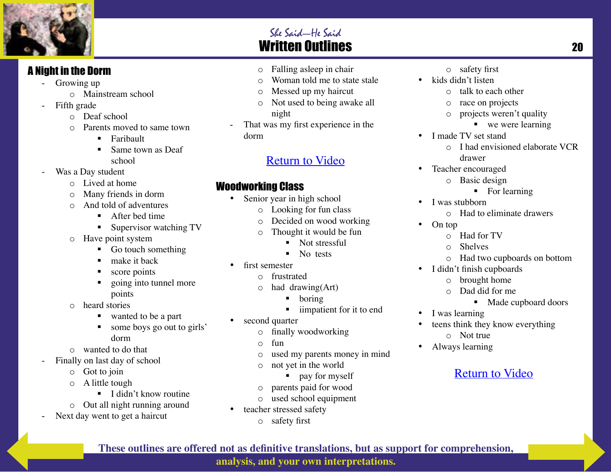

#### A Night in the Dorm

- Growing up
	- o Mainstream school
- Fifth grade
	- o Deaf school
	- o Parents moved to same town
		- **Faribault**
		- Same town as Deaf school
- Was a Day student
	- o Lived at home
	- Many friends in dorm
	- o And told of adventures
		- After bed time
		- **Supervisor watching TV**
	- o Have point system
		- Go touch something
		- make it back
		- score points
		- going into tunnel more points
	- o heard stories
		- wanted to be a part
		- some boys go out to girls' dorm
	- o wanted to do that
- Finally on last day of school
	- o Got to join
	- o A little tough
		- $\blacksquare$  I didn't know routine
	- o Out all night running around
- Next day went to get a haircut

o Falling asleep in chair

She Said—He Said

- o Woman told me to state stale
- o Messed up my haircut
- o Not used to being awake all night
- That was my first experience in the dorm

#### Return to Video

#### Woodworking Class

- Senior year in high school
	- o Looking for fun class
	- o Decided on wood working
	- o Thought it would be fun
		- Not stressful
		- lacks No tests
	- first semester
		- o frustrated
		- $\circ$  had drawing(Art)
			- boring
			- iimpatient for it to end
- second quarter
	- o finally woodworking
	- $\circ$  fun
	- o used my parents money in mind
	- o not yet in the world
		- pay for myself
	- o parents paid for wood
	- o used school equipment
- teacher stressed safety
	- o safety first
- o safety first
- kids didn't listen
	- o talk to each other
	- o race on projects
	- o projects weren't quality
		- we were learning
- I made TV set stand o I had envisioned elaborate VCR
	- drawer
- Teacher encouraged
	- o Basic design
		- For learning
- I was stubborn
	- o Had to eliminate drawers
- On top
	- o Had for TV
	- o Shelves
	- o Had two cupboards on bottom
- I didn't finish cupboards
	- o brought home
	- o Dad did for me
		- Made cupboard doors
- I was learning
- teens think they know everything o Not true
- Always learning

## Return to Video

**These outlines are offered not as definitive translations, but as support for comprehension,** 

**analysis, and your own interpretations.**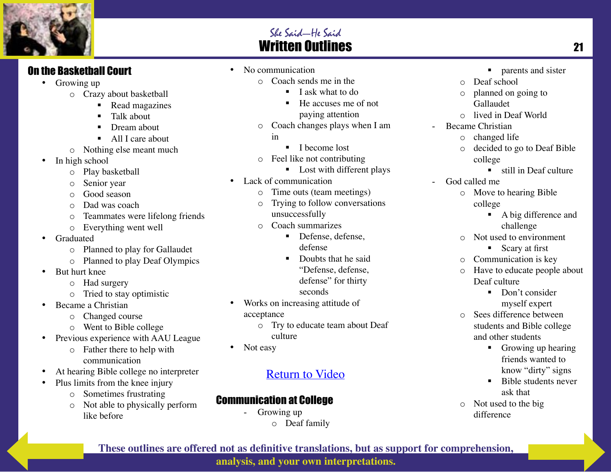

#### On the Basketball Court

- Growing up
	- o Crazy about basketball
		- Read magazines
		- Talk about
		- Dream about
		- All I care about
	- o Nothing else meant much
- In high school
	- o Play basketball
	- o Senior year
	- o Good season
	- o Dad was coach
	- o Teammates were lifelong friends
	- o Everything went well
- Graduated
	- o Planned to play for Gallaudet
	- o Planned to play Deaf Olympics
- But hurt knee
	- o Had surgery
	- o Tried to stay optimistic
- Became a Christian
	- o Changed course
	- o Went to Bible college
- Previous experience with AAU League
	- o Father there to help with communication
- At hearing Bible college no interpreter
- Plus limits from the knee injury
	- o Sometimes frustrating
	- o Not able to physically perform like before
- No communication
	- o Coach sends me in the
		- $\blacksquare$  I ask what to do
			- He accuses me of not paying attention
	- o Coach changes plays when I am
		- in
			- I become lost
	- o Feel like not contributing
		- **Lost with different plays**
- Lack of communication
	- o Time outs (team meetings)
	- o Trying to follow conversations unsuccessfully
	- o Coach summarizes
		- Defense, defense, defense
		- Doubts that he said "Defense, defense, defense" for thirty seconds
- Works on increasing attitude of acceptance
	- o Try to educate team about Deaf culture
- Not easy

## Return to Video

### Communication at College

- Growing up o Deaf family

- **parents and sister**
- o Deaf school
- o planned on going to Gallaudet
- o lived in Deaf World
- Became Christian
	- o changed life
	- o decided to go to Deaf Bible college
		- **still in Deaf culture**
- God called me
	- o Move to hearing Bible college
		- A big difference and challenge
	- o Not used to environment
		- Scary at first
	- o Communication is key
	- o Have to educate people about Deaf culture
		- Don't consider myself expert
	- o Sees difference between students and Bible college and other students
		- Growing up hearing friends wanted to know "dirty" signs
		- Bible students never ask that
	- o Not used to the big difference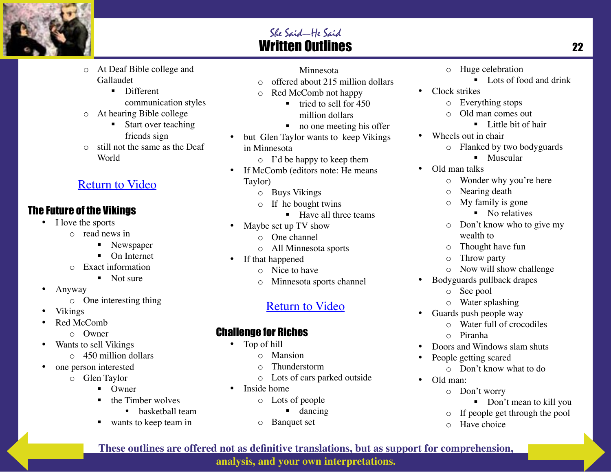

- o At Deaf Bible college and Gallaudet
	- **Different** communication styles
- o At hearing Bible college
	- Start over teaching friends sign
- o still not the same as the Deaf World

### Return to Video

#### The Future of the Vikings

- I love the sports
	- o read news in
		- **Newspaper**
		- On Internet
	- o Exact information
		- Not sure
- Anyway
	- o One interesting thing
- Vikings
- Red McComb
	- o Owner
- Wants to sell Vikings
	- o 450 million dollars
- one person interested
	- o Glen Taylor
		- $\blacksquare$  Owner
		- $\blacksquare$  the Timber wolves
			- basketball team
		- wants to keep team in
- Minnesota
- o offered about 215 million dollars
- o Red McComb not happy
	- $\blacksquare$  tried to sell for 450 million dollars
	- no one meeting his offer
- but Glen Taylor wants to keep Vikings in Minnesota
	- o I'd be happy to keep them
- If McComb (editors note: He means Taylor)
	- o Buys Vikings
	- o If he bought twins
		- Have all three teams
- Maybe set up TV show
	- o One channel
	- o All Minnesota sports
- If that happened
	- o Nice to have
	- o Minnesota sports channel

# Return to Video

### Challenge for Riches

- Top of hill
	- o Mansion
	- o Thunderstorm
	- o Lots of cars parked outside
- Inside home
	- o Lots of people
		- **dancing**
	- o Banquet set
- o Huge celebration
	- $\blacksquare$  Lots of food and drink
- Clock strikes
	- o Everything stops
	- o Old man comes out
		- **Little bit of hair**
- Wheels out in chair
	- o Flanked by two bodyguards
		- **Muscular**
- Old man talks
	- o Wonder why you're here
	- o Nearing death
	- o My family is gone
		- No relatives
	- o Don't know who to give my wealth to
	- o Thought have fun
	- o Throw party
	- o Now will show challenge
- Bodyguards pullback drapes
	- o See pool
	- o Water splashing
- Guards push people way
	- o Water full of crocodiles
	- o Piranha
- Doors and Windows slam shuts
- People getting scared
	- o Don't know what to do
- Old man:
	- o Don't worry
		- Don't mean to kill you
	- o If people get through the pool
	- o Have choice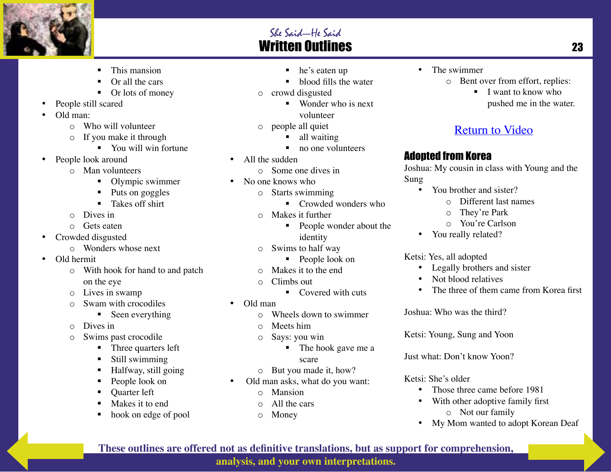

- This mansion
- Or all the cars
- Or lots of money
- People still scared
- Old man:
	- o Who will volunteer
	- o If you make it through
		- You will win fortune
- People look around
	- o Man volunteers
		- Olympic swimmer
		- Puts on goggles
		- Takes off shirt
	- o Dives in
	- o Gets eaten
- Crowded disgusted
	- o Wonders whose next
- Old hermit
	- o With hook for hand to and patch on the eye
	- o Lives in swamp
	- o Swam with crocodiles
		- Seen everything
	- o Dives in
	- o Swims past crocodile
		- Three quarters left
		- Still swimming
		- Halfway, still going
		- People look on
		- Quarter left
		- Makes it to end
		- hook on edge of pool
- he's eaten up
- blood fills the water
- o crowd disgusted
	- Wonder who is next volunteer
- o people all quiet
	- - all waiting
		- no one volunteers
- All the sudden
	- o Some one dives in
- No one knows who
	- o Starts swimming
		- Crowded wonders who
	- o Makes it further
		- People wonder about the identity
	- o Swims to half way
		- People look on
	- o Makes it to the end
	- o Climbs out
		- $\blacksquare$  Covered with cuts
- Old man
	- o Wheels down to swimmer
	- o Meets him
	- o Says: you win
		- The hook gave me a

#### scare

- o But you made it, how?
- Old man asks, what do you want:
	- o Mansion
	- o All the cars
	- o Money
- The swimmer
	- o Bent over from effort, replies:
		- I want to know who pushed me in the water.

### Return to Video

#### Adopted from Korea

Joshua: My cousin in class with Young and the Sung

- You brother and sister?
	- o Different last names
	- o They're Park
	- o You're Carlson
- You really related?

#### Ketsi: Yes, all adopted

- Legally brothers and sister
- Not blood relatives
- The three of them came from Korea first

Joshua: Who was the third?

Ketsi: Young, Sung and Yoon

Just what: Don't know Yoon?

#### Ketsi: She's older

- Those three came before 1981
- With other adoptive family first o Not our family
- My Mom wanted to adopt Korean Deaf

**These outlines are offered not as definitive translations, but as support for comprehension,**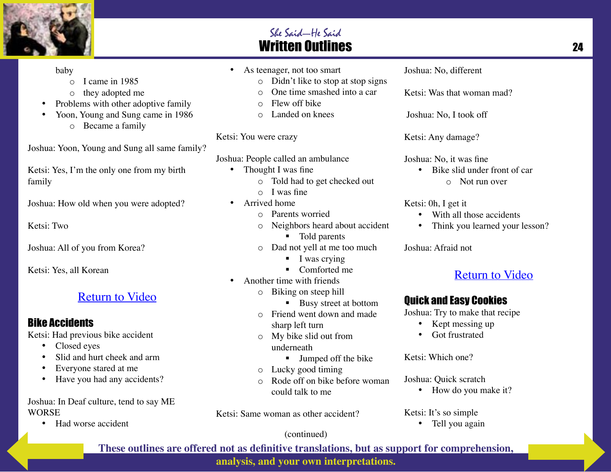

#### baby

- o I came in 1985
- o they adopted me
- Problems with other adoptive family
- Yoon, Young and Sung came in 1986
	- o Became a family

Joshua: Yoon, Young and Sung all same family?

Ketsi: Yes, I'm the only one from my birth family

Joshua: How old when you were adopted?

Ketsi: Two

Joshua: All of you from Korea?

Ketsi: Yes, all Korean

#### Return to Video

#### Bike Accidents

Ketsi: Had previous bike accident

- Closed eyes
- Slid and hurt cheek and arm
- Everyone stared at me
- Have you had any accidents?

Joshua: In Deaf culture, tend to say ME WORSE

• Had worse accident

- As teenager, not too smart
	- o Didn't like to stop at stop signs
	- o One time smashed into a car
	- o Flew off bike
	- o Landed on knees

#### Ketsi: You were crazy

Joshua: People called an ambulance

- Thought I was fine
	- o Told had to get checked out
	- $\circ$  I was fine
- Arrived home
	- o Parents worried
	- o Neighbors heard about accident
		- Told parents
	- o Dad not yell at me too much
		- $\blacksquare$  I was crying
		- Comforted me
- Another time with friends
	- o Biking on steep hill
		- Busy street at bottom
		- o Friend went down and made sharp left turn
		- o My bike slid out from underneath
			- **Jumped off the bike**
		- o Lucky good timing
		- o Rode off on bike before woman could talk to me

Ketsi: Same woman as other accident?

Joshua: No, different

Ketsi: Was that woman mad?

Joshua: No, I took off

Ketsi: Any damage?

Joshua: No, it was fine

• Bike slid under front of car o Not run over

Ketsi: 0h, I get it

- With all those accidents
- Think you learned your lesson?

Joshua: Afraid not

#### Return to Video

#### Quick and Easy Cookies

Joshua: Try to make that recipe

- Kept messing up
- Got frustrated

Ketsi: Which one?

Joshua: Quick scratch

• How do you make it?

Ketsi: It's so simple

• Tell you again

#### (continued)

**These outlines are offered not as definitive translations, but as support for comprehension,** 

**analysis, and your own interpretations.**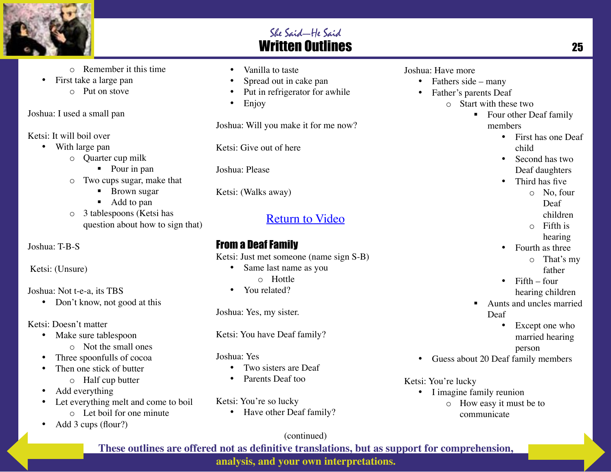

- o Remember it this time
- First take a large pan o Put on stove
- 

Joshua: I used a small pan

Ketsi: It will boil over

- With large pan
	- o Quarter cup milk
		- Pour in pan
	- o Two cups sugar, make that
		- **Brown sugar**
		- Add to pan
	- o 3 tablespoons (Ketsi has question about how to sign that)

Joshua: T-B-S

Ketsi: (Unsure)

Joshua: Not t-e-a, its TBS

• Don't know, not good at this

Ketsi: Doesn't matter

- Make sure tablespoon
	- o Not the small ones
- Three spoonfulls of cocoa
- Then one stick of butter
	- o Half cup butter
- Add everything
- Let everything melt and come to boil o Let boil for one minute
- Add 3 cups (flour?)
- Vanilla to taste
- Spread out in cake pan
- Put in refrigerator for awhile
- Enjoy

Joshua: Will you make it for me now?

Ketsi: Give out of here

Joshua: Please

Ketsi: (Walks away)

## Return to Video

### From a Deaf Family

- Ketsi: Just met someone (name sign S-B)
	- Same last name as you
		- o Hottle
	- You related?

Joshua: Yes, my sister.

Ketsi: You have Deaf family?

Joshua: Yes

- Two sisters are Deaf
- Parents Deaf too

Ketsi: You're so lucky

• Have other Deaf family?

#### Joshua: Have more

- Fathers side many
- Father's parents Deaf
	- o Start with these two
		- Four other Deaf family members
			- First has one Deaf child
			- Second has two Deaf daughters
			- Third has five
				- $\circ$  No four
					- Deaf
					- children
				- o Fifth is hearing
			- Fourth as three
				- o That's my father
			- $\bullet$  Fifth four hearing children
		- Aunts and uncles married Deaf
			- Except one who married hearing person
- Guess about 20 Deaf family members

#### Ketsi: You're lucky

• I imagine family reunion o How easy it must be to communicate

(continued)

**These outlines are offered not as definitive translations, but as support for comprehension,** 

**analysis, and your own interpretations.**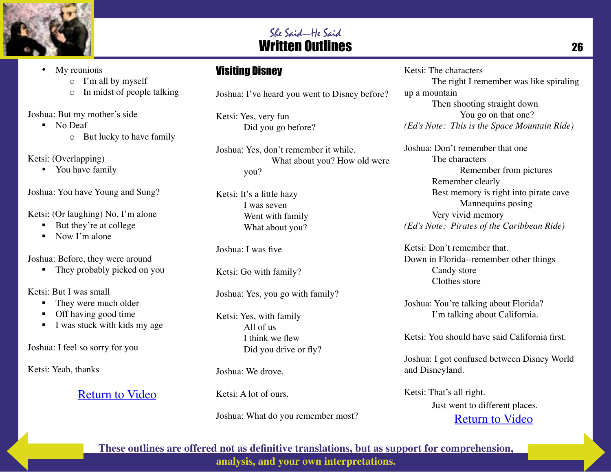

#### • My reunions

o I'm all by myself

o In midst of people talking

Joshua: But my mother's side

- No Deaf
	- o But lucky to have family

Ketsi: (Overlapping)

• You have family

Joshua: You have Young and Sung?

Ketsi: (Or laughing) No, I'm alone

- But they're at college
- $\blacksquare$  Now I'm alone

Joshua: Before, they were around

• They probably picked on you

Ketsi: But I was small

- They were much older
- Off having good time
- $\blacksquare$  I was stuck with kids my age

Joshua: I feel so sorry for you

Ketsi: Yeah, thanks

Return to Video

### Visiting Disney

Joshua: I've heard you went to Disney before?

Ketsi: Yes, very fun Did you go before?

Joshua: Yes, don't remember it while. What about you? How old were you?

Ketsi: It's a little hazy I was seven Went with family What about you?

Joshua: I was five

Ketsi: Go with family?

Joshua: Yes, you go with family?

Ketsi: Yes, with family All of us I think we flew Did you drive or fly?

Joshua: We drove.

Ketsi: A lot of ours.

Joshua: What do you remember most?

#### Ketsi: The characters

The right I remember was like spiraling up a mountain Then shooting straight down You go on that one?

*(Ed's Note: This is the Space Mountain Ride)*

Joshua: Don't remember that one The characters Remember from pictures Remember clearly Best memory is right into pirate cave Mannequins posing Very vivid memory *(Ed's Note: Pirates of the Caribbean Ride)*

Ketsi: Don't remember that. Down in Florida--remember other things Candy store Clothes store

Joshua: You're talking about Florida? I'm talking about California.

Ketsi: You should have said California first.

Joshua: I got confused between Disney World and Disneyland.

Ketsi: That's all right. Just went to different places. Return to Video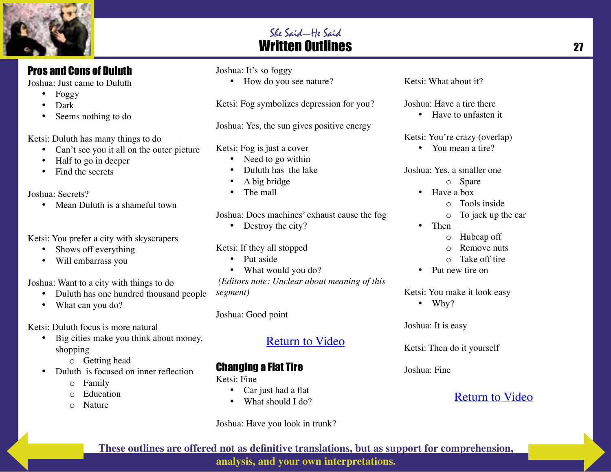

Joshua: Just came to Duluth

- Foggy
- Dark
- Seems nothing to do

Ketsi: Duluth has many things to do

- Can't see you it all on the outer picture
- Half to go in deeper
- Find the secrets

Joshua: Secrets?

• Mean Duluth is a shameful town

Ketsi: You prefer a city with skyscrapers

- Shows off everything
- Will embarrass you

Joshua: Want to a city with things to do

- Duluth has one hundred thousand people
- What can you do?

Ketsi: Duluth focus is more natural

- Big cities make you think about money, shopping
	- o Getting head
- Duluth is focused on inner reflection
	- o Family
	- o Education
	- o Nature

#### Joshua: It's so foggy

• How do you see nature?

Ketsi: Fog symbolizes depression for you?

Joshua: Yes, the sun gives positive energy

Ketsi: Fog is just a cover

- Need to go within
- Duluth has the lake
- A big bridge
- The mall

Joshua: Does machines' exhaust cause the fog

• Destroy the city?

Ketsi: If they all stopped

- Put aside
- What would you do?

 *(Editors note: Unclear about meaning of this segment)*

Joshua: Good point

### Return to Video

### Changing a Flat Tire

Ketsi: Fine

- Car just had a flat
- What should I do?

Joshua: Have you look in trunk?

Ketsi: What about it?

Joshua: Have a tire there

• Have to unfasten it

Ketsi: You're crazy (overlap)

• You mean a tire?

Joshua: Yes, a smaller one

- o Spare
- Have a box
	- o Tools inside
	- o To jack up the car
- Then
	- o Hubcap off
	- o Remove nuts
	- $\circ$  Take off tire
- Put new tire on

Ketsi: You make it look easy

• Why?

Joshua: It is easy

Ketsi: Then do it yourself

Joshua: Fine

### Return to Video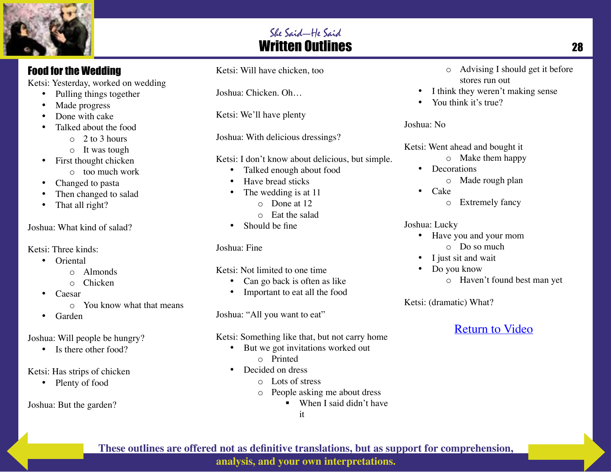

Ketsi: Yesterday, worked on wedding

- Pulling things together
- Made progress
- Done with cake
- Talked about the food
	- $\circ$  2 to 3 hours
	- o It was tough
- First thought chicken
	- o too much work
- Changed to pasta
- Then changed to salad
- That all right?

Joshua: What kind of salad?

Ketsi: Three kinds:

- Oriental
	- o Almonds
	- o Chicken
- Caesar
	- o You know what that means
- Garden

#### Joshua: Will people be hungry?

• Is there other food?

#### Ketsi: Has strips of chicken

• Plenty of food

Joshua: But the garden?

Ketsi: Will have chicken, too

Joshua: Chicken. Oh…

Ketsi: We'll have plenty

Joshua: With delicious dressings?

- Ketsi: I don't know about delicious, but simple.
	- Talked enough about food
	- Have bread sticks
	- The wedding is at 11
		- o Done at 12
		- o Eat the salad
	- Should be fine

#### Joshua: Fine

Ketsi: Not limited to one time

- Can go back is often as like
- Important to eat all the food

Joshua: "All you want to eat"

#### Ketsi: Something like that, but not carry home

- But we got invitations worked out
	- o Printed
- Decided on dress
	- o Lots of stress
	- o People asking me about dress
		- When I said didn't have
			- it
- o Advising I should get it before stores run out
- I think they weren't making sense
- You think it's true?

Joshua: No

Ketsi: Went ahead and bought it

- o Make them happy
- Decorations
	- o Made rough plan
- Cake
	- o Extremely fancy

#### Joshua: Lucky

- Have you and your mom o Do so much
- I just sit and wait
- Do you know
	- o Haven't found best man yet

Ketsi: (dramatic) What?

### Return to Video

**These outlines are offered not as definitive translations, but as support for comprehension,** 

**analysis, and your own interpretations.**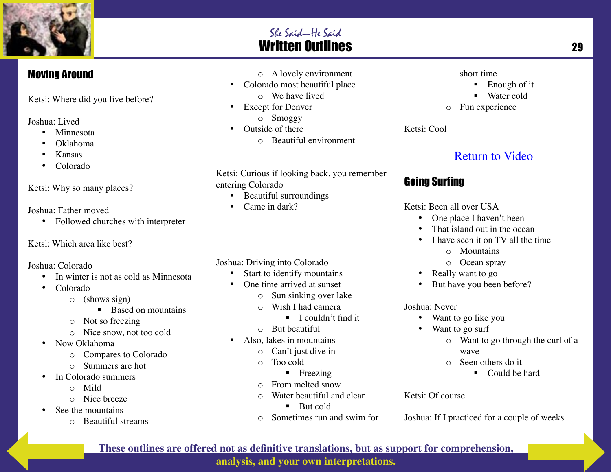

#### Moving Around

Ketsi: Where did you live before?

Joshua: Lived

- Minnesota
- Oklahoma
- Kansas
- Colorado

#### Ketsi: Why so many places?

Joshua: Father moved

• Followed churches with interpreter

#### Ketsi: Which area like best?

#### Joshua: Colorado

- In winter is not as cold as Minnesota
- Colorado
	- o (shows sign)
		- Based on mountains
	- o Not so freezing
	- o Nice snow, not too cold
- Now Oklahoma
	- o Compares to Colorado
	- o Summers are hot
- In Colorado summers
	- o Mild
	- o Nice breeze
- See the mountains
	- o Beautiful streams
- o A lovely environment
- Colorado most beautiful place
	- o We have lived
- Except for Denver
	- o Smoggy
- Outside of there
	- o Beautiful environment

Ketsi: Curious if looking back, you remember entering Colorado

- Beautiful surroundings
- Came in dark?

#### Joshua: Driving into Colorado

- Start to identify mountains
- One time arrived at sunset
	- o Sun sinking over lake
	- o Wish I had camera
		- $\blacksquare$  I couldn't find it
	- o But beautiful
- Also, lakes in mountains
	- o Can't just dive in
	- o Too cold
		- **Freezing**
	- o From melted snow
	- o Water beautiful and clear
		- $\blacksquare$  But cold
	- o Sometimes run and swim for
- short time
	- Enough of it
	- Water cold
- o Fun experience

Ketsi: Cool

### Return to Video

#### Going Surfing

Ketsi: Been all over USA

- One place I haven't been
- That island out in the ocean
- I have seen it on TV all the time
	- o Mountains
	- o Ocean spray
- Really want to go
- But have you been before?

Joshua: Never

- Want to go like you
- Want to go surf
	- o Want to go through the curl of a wave
	- o Seen others do it
		- Could be hard

#### Ketsi: Of course

Joshua: If I practiced for a couple of weeks

**analysis, and your own interpretations.**

### She Said—He Said Written Outlines 29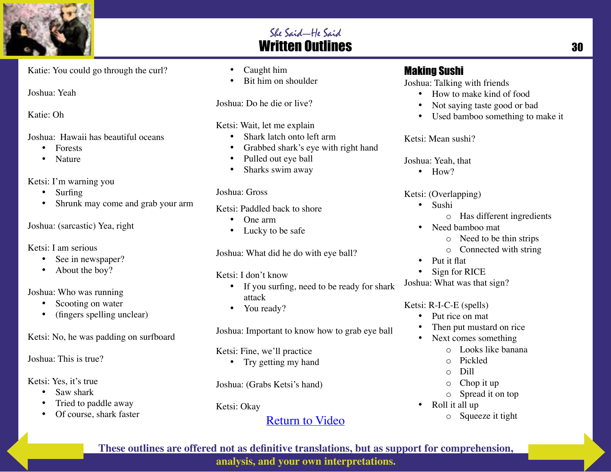

### She Said—He Said **Written Outlines 30 and 20 and 30 and 30 and 30 and 30 and 30 and 30 and 30 and 30 and 30 and 30 and 30 and 30**

Katie: You could go through the curl?

Joshua: Yeah

Katie: Oh

Joshua: Hawaii has beautiful oceans

- Forests
- Nature

Ketsi: I'm warning you

- Surfing
- Shrunk may come and grab your arm

Joshua: (sarcastic) Yea, right

Ketsi: I am serious

- See in newspaper?
- About the boy?

#### Joshua: Who was running

- Scooting on water
- (fingers spelling unclear)

Ketsi: No, he was padding on surfboard

Joshua: This is true?

- Ketsi: Yes, it's true
	- Saw shark
	- Tried to paddle away
	- Of course, shark faster
- Caught him
- Bit him on shoulder

Joshua: Do he die or live?

Ketsi: Wait, let me explain

- Shark latch onto left arm
- Grabbed shark's eye with right hand
- Pulled out eye ball
- Sharks swim away

#### Joshua: Gross

Ketsi: Paddled back to shore

- One arm
- Lucky to be safe

Joshua: What did he do with eye ball?

Ketsi: I don't know

- If you surfing, need to be ready for shark attack
- You ready?

Joshua: Important to know how to grab eye ball

Ketsi: Fine, we'll practice

• Try getting my hand

Joshua: (Grabs Ketsi's hand)

Ketsi: Okay

### Return to Video

#### Making Sushi

Joshua: Talking with friends

- How to make kind of food
- Not saying taste good or bad
- Used bamboo something to make it

Ketsi: Mean sushi?

Joshua: Yeah, that

• How?

Ketsi: (Overlapping)

- Sushi
	- o Has different ingredients
- Need bamboo mat
	- o Need to be thin strips
	- o Connected with string
- Put it flat
- Sign for RICE

Joshua: What was that sign?

#### Ketsi: R-I-C-E (spells)

- Put rice on mat
- Then put mustard on rice
- Next comes something
	- o Looks like banana
	- o Pickled
	- o Dill
	- o Chop it up
	- o Spread it on top
- Roll it all up o Squeeze it tight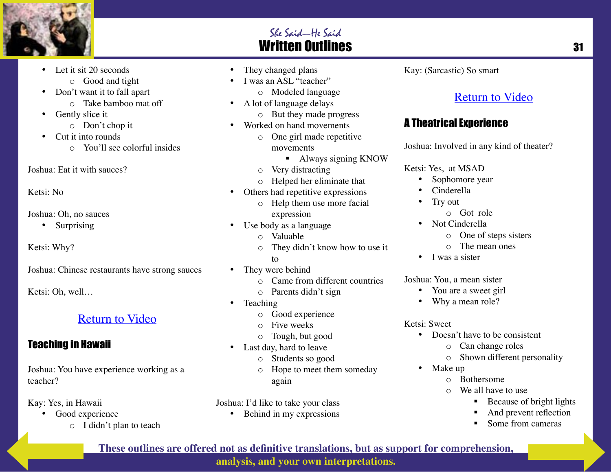

#### She Said—He Said **Written Outlines 31 and 31 and 31 and 31 and 31 and 31 and 31 and 31 and 31 and 31 and 31 and 31 and 31 and 31 and 31 and 31 and 31 and 31 and 31 and 31 and 31 and 31 and 31 and 31 and 31 and 31 and 31 and 31 and 31 and 3**

- Let it sit 20 seconds
	- o Good and tight
- Don't want it to fall apart
	- o Take bamboo mat off
- Gently slice it
	- o Don't chop it
- Cut it into rounds
	- o You'll see colorful insides

Joshua: Eat it with sauces?

Ketsi: No

Joshua: Oh, no sauces

• Surprising

Ketsi: Why?

Joshua: Chinese restaurants have strong sauces

Ketsi: Oh, well…

#### Return to Video

#### Teaching in Hawaii

Joshua: You have experience working as a teacher?

Kay: Yes, in Hawaii

- Good experience
	- o I didn't plan to teach
- They changed plans
- I was an ASL "teacher"
	- o Modeled language
- A lot of language delays
	- o But they made progress
- Worked on hand movements
	- o One girl made repetitive movements
		- Always signing KNOW
	- o Very distracting
	- o Helped her eliminate that
- Others had repetitive expressions
	- o Help them use more facial expression
- Use body as a language
	- o Valuable
	- o They didn't know how to use it to
- They were behind
	- o Came from different countries
	- o Parents didn't sign
- Teaching
	- o Good experience
	- o Five weeks
	- o Tough, but good
- Last day, hard to leave
	- o Students so good
	- o Hope to meet them someday again

Joshua: I'd like to take your class

• Behind in my expressions

Kay: (Sarcastic) So smart

### Return to Video

#### A Theatrical Experience

Joshua: Involved in any kind of theater?

Ketsi: Yes, at MSAD

- Sophomore year
- Cinderella
- Try out
	- o Got role
- Not Cinderella
	- o One of steps sisters
	- o The mean ones
- I was a sister

Joshua: You, a mean sister

- You are a sweet girl
- Why a mean role?

Ketsi: Sweet

- Doesn't have to be consistent
	- o Can change roles
	- o Shown different personality
- Make up
	- o Bothersome
	- o We all have to use
		- Because of bright lights
		- And prevent reflection
		- Some from cameras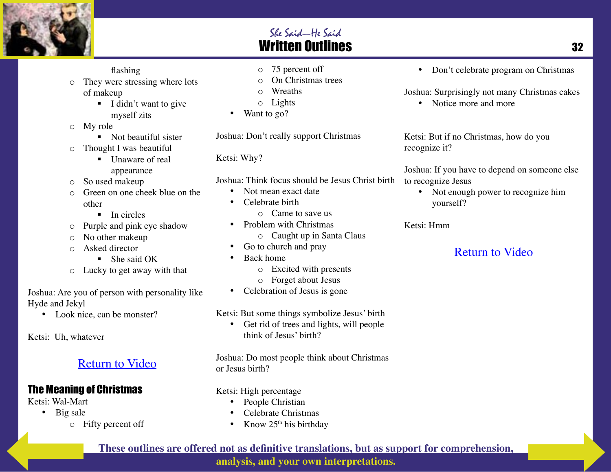

o They were stressing where lots of makeup

flashing

- I didn't want to give myself zits
- o My role
	- Not beautiful sister
- o Thought I was beautiful
	- Unaware of real appearance
- o So used makeup
- Green on one cheek blue on the other
	- $\blacksquare$  In circles
- o Purple and pink eye shadow
- o No other makeup
- o Asked director
	- She said OK
- o Lucky to get away with that

Joshua: Are you of person with personality like Hyde and Jekyl

• Look nice, can be monster?

Ketsi: Uh, whatever

### Return to Video

#### The Meaning of Christmas

Ketsi: Wal-Mart

- Big sale
	- o Fifty percent off
- o 75 percent off
- On Christmas trees
- $\circ$  Wreaths
- o Lights
- Want to go?

Joshua: Don't really support Christmas

Ketsi: Why?

- Joshua: Think focus should be Jesus Christ birth
	- Not mean exact date
	- Celebrate birth
		- o Came to save us
	- Problem with Christmas o Caught up in Santa Claus
	- Go to church and pray
	- Back home
		- o Excited with presents
		- o Forget about Jesus
	- Celebration of Jesus is gone

Ketsi: But some things symbolize Jesus' birth

• Get rid of trees and lights, will people think of Jesus' birth?

Joshua: Do most people think about Christmas or Jesus birth?

Ketsi: High percentage

- People Christian
- Celebrate Christmas
- Know  $25<sup>th</sup>$  his birthday

• Don't celebrate program on Christmas

Joshua: Surprisingly not many Christmas cakes

• Notice more and more

Ketsi: But if no Christmas, how do you recognize it?

Joshua: If you have to depend on someone else to recognize Jesus

• Not enough power to recognize him yourself?

Ketsi: Hmm

### Return to Video